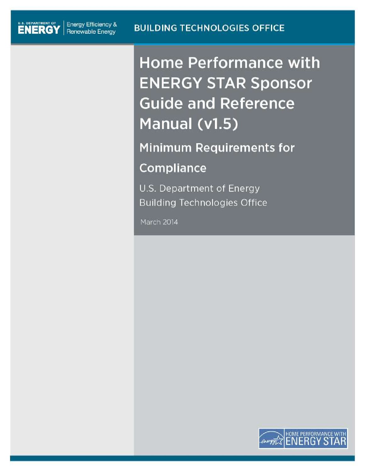U.S. DEPARTMENT OF | Energy Efficiency &

**Home Performance with ENERGY STAR Sponsor Guide and Reference** Manual (v1.5)

**Minimum Requirements for Compliance** 

U.S. Department of Energy **Building Technologies Office** 

March 2014

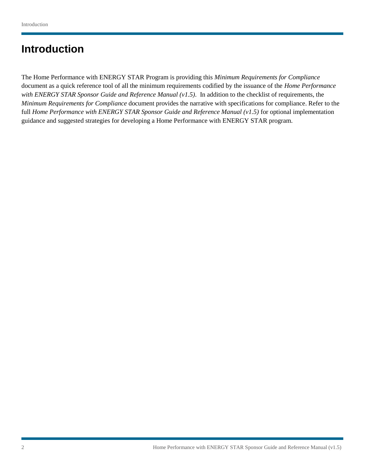# **Introduction**

full *Home Performance with ENERGY STAR Sponsor Guide and Reference Manual (v1.5)* for optional implementation The Home Performance with ENERGY STAR Program is providing this *Minimum Requirements for Compliance*  document as a quick reference tool of all the minimum requirements codified by the issuance of the *Home Performance with ENERGY STAR Sponsor Guide and Reference Manual (v1.5)*. In addition to the checklist of requirements, the *Minimum Requirements for Compliance* document provides the narrative with specifications for compliance. Refer to the guidance and suggested strategies for developing a Home Performance with ENERGY STAR program.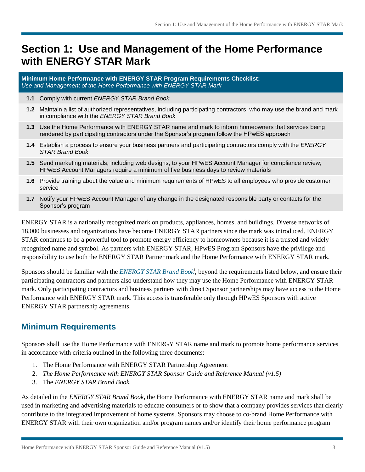# **Section 1: Use and Management of the Home Performance with ENERGY STAR Mark**

 *Use and Management of the Home Performance with ENERGY STAR Mark*  **Minimum Home Performance with ENERGY STAR Program Requirements Checklist:** 

- **1.1** Comply with current *ENERGY STAR Brand Book*
- **1.2** Maintain a list of authorized representatives, including participating contractors, who may use the brand and mark in compliance with the *ENERGY STAR Brand Book*
- **1.3** Use the Home Performance with ENERGY STAR name and mark to inform homeowners that services being rendered by participating contractors under the Sponsor's program follow the HPwES approach
- **1.4** Establish a process to ensure your business partners and participating contractors comply with the *ENERGY STAR Brand Book*
- **1.5** Send marketing materials, including web designs, to your HPwES Account Manager for compliance review; HPwES Account Managers require a minimum of five business days to review materials
- **1.6** Provide training about the value and minimum requirements of HPwES to all employees who provide customer service
- **1.7** Notify your HPwES Account Manager of any change in the designated responsible party or contacts for the Sponsor's program

 STAR continues to be a powerful tool to promote energy efficiency to homeowners because it is a trusted and widely responsibility to use both the ENERGY STAR Partner mark and the Home Performance with ENERGY STAR mark. ENERGY STAR is a nationally recognized mark on products, appliances, homes, and buildings. Diverse networks of 18,000 businesses and organizations have become ENERGY STAR partners since the mark was introduced. ENERGY recognized name and symbol. As partners with ENERGY STAR, HPwES Program Sponsors have the privilege and

 mark. Only participating contractors and business partners with direct Sponsor partnerships may have access to the Home Sponsors should be familiar with the *[ENERGY STAR Brand Book](http://www.energystar.gov/index.cfm?c=logos.pt_guidelines)*<sup>i</sup>, beyond the requirements listed below, and ensure their participating contractors and partners also understand how they may use the Home Performance with ENERGY STAR Performance with ENERGY STAR mark. This access is transferable only through HPwES Sponsors with active ENERGY STAR partnership agreements.

# **Minimum Requirements**

Sponsors shall use the Home Performance with ENERGY STAR name and mark to promote home performance services in accordance with criteria outlined in the following three documents:

- 1. The Home Performance with ENERGY STAR Partnership Agreement
- 2. *The Home Performance with ENERGY STAR Sponsor Guide and Reference Manual (v1.5)*
- 3. The *ENERGY STAR Brand Book.*

As detailed in the *ENERGY STAR Brand Book*, the Home Performance with ENERGY STAR name and mark shall be used in marketing and advertising materials to educate consumers or to show that a company provides services that clearly contribute to the integrated improvement of home systems. Sponsors may choose to co-brand Home Performance with ENERGY STAR with their own organization and/or program names and/or identify their home performance program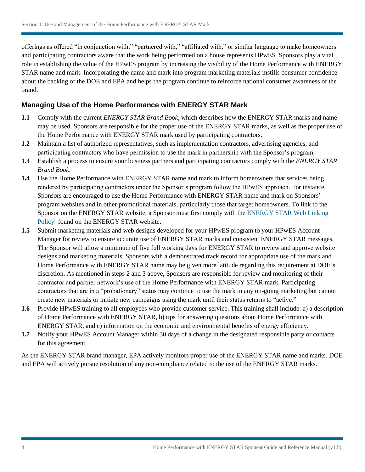offerings as offered "in conjunction with," "partnered with," "affiliated with," or similar language to make homeowners and participating contractors aware that the work being performed on a house represents HPwES. Sponsors play a vital about the backing of the DOE and EPA and helps the program continue to reinforce national consumer awareness of the role in establishing the value of the HPwES program by increasing the visibility of the Home Performance with ENERGY STAR name and mark. Incorporating the name and mark into program marketing materials instills consumer confidence brand.

### **Managing Use of the Home Performance with ENERGY STAR Mark**

- $1.1$ Comply with the current *ENERGY STAR Brand Book*, which describes how the ENERGY STAR marks and name may be used. Sponsors are responsible for the proper use of the ENERGY STAR marks, as well as the proper use of the Home Performance with ENERGY STAR mark used by participating contractors.
- $1.2$ **1.2** Maintain a list of authorized representatives, such as implementation contractors, advertising agencies, and participating contractors who have permission to use the mark in partnership with the Sponsor's program.
- $1.3$ **1.3** Establish a process to ensure your business partners and participating contractors comply with the *ENERGY STAR Brand Book*.
- $1.4$  Sponsors are encouraged to use the Home Performance with ENERGY STAR name and mark on Sponsors' program websites and in other promotional materials, particularly those that target homeowners. To link to the Sponsor on the ENERGY STAR website, a Sponsor must first comply with the **ENERGY STAR Web Linking** Policy<sup>ii</sup> found on the ENERGY STAR website. Use the Home Performance with ENERGY STAR name and mark to inform homeowners that services being rendered by participating contractors under the Sponsor's program follow the HPwES approach. For instance,
- Manager for review to ensure accurate use of ENERGY STAR marks and consistent ENERGY STAR messages. designs and marketing materials. Sponsors with a demonstrated track record for appropriate use of the mark and Home Performance with ENERGY STAR name may be given more latitude regarding this requirement at DOE's contractor and partner network's use of the Home Performance with ENERGY STAR mark. Participating contractors that are in a "probationary" status may continue to use the mark in any on-going marketing but cannot create new materials or initiate new campaigns using the mark until their status returns to "active." **1.5** Submit marketing materials and web designs developed for your HPwES program to your HPwES Account The Sponsor will allow a minimum of five full working days for ENERGY STAR to review and approve website discretion. As mentioned in steps 2 and 3 above, Sponsors are responsible for review and monitoring of their
- $1.6$ Provide HPwES training to all employees who provide customer service. This training shall include: a) a description of Home Performance with ENERGY STAR, b) tips for answering questions about Home Performance with ENERGY STAR, and c) information on the economic and environmental benefits of energy efficiency.
- **1.7** Notify your HPwES Account Manager within 30 days of a change in the designated responsible party or contacts for this agreement.

As the ENERGY STAR brand manager, EPA actively monitors proper use of the ENERGY STAR name and marks. DOE and EPA will actively pursue resolution of any non-compliance related to the use of the ENERGY STAR marks.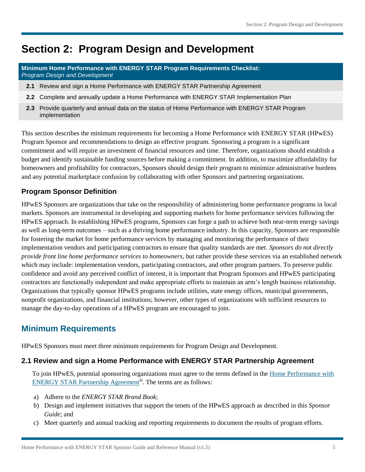# **Section 2: Program Design and Development**

**Minimum Home Performance with ENERGY STAR Program Requirements Checklist:**  *Program Design and Development* 

- $2.1$ **2.1** Review and sign a Home Performance with ENERGY STAR Partnership Agreement
- $2.2$ **2.2** Complete and annually update a Home Performance with ENERGY STAR Implementation Plan
- $2.3$ **2.3** Provide quarterly and annual data on the status of Home Performance with ENERGY STAR Program implementation

 This section describes the minimum requirements for becoming a Home Performance with ENERGY STAR (HPwES) Program Sponsor and recommendations to design an effective program. Sponsoring a program is a significant commitment and will require an investment of financial resources and time. Therefore, organizations should establish a budget and identify sustainable funding sources before making a commitment. In addition, to maximize affordability for homeowners and profitability for contractors, Sponsors should design their program to minimize administrative burdens and any potential marketplace confusion by collaborating with other Sponsors and partnering organizations.

## **Program Sponsor Definition**

 markets. Sponsors are instrumental in developing and supporting markets for home performance services following the as well as long-term outcomes – such as a thriving home performance industry. In this capacity, Sponsors are responsible for fostering the market for home performance services by managing and monitoring the performance of their confidence and avoid any perceived conflict of interest, it is important that Program Sponsors and HPwES participating manage the day-to-day operations of a HPwES program are encouraged to join. HPwES Sponsors are organizations that take on the responsibility of administering home performance programs in local HPwES approach. In establishing HPwES programs, Sponsors can forge a path to achieve both near-term energy savings implementation vendors and participating contractors to ensure that quality standards are met. *Sponsors do not directly provide front line home performance services to homeowners*, but rather provide these services via an established network which may include: implementation vendors, participating contractors, and other program partners. To preserve public contractors are functionally independent and make appropriate efforts to maintain an arm's length business relationship. Organizations that typically sponsor HPwES programs include utilities, state energy offices, municipal governments, nonprofit organizations, and financial institutions; however, other types of organizations with sufficient resources to

# **Minimum Requirements**

HPwES Sponsors must meet three minimum requirements for Program Design and Development.

#### **2.1 Review and sign a Home Performance with ENERGY STAR Partnership Agreement**

To join HPwES, potential sponsoring organizations must agree to the terms defined in the [Home Performance with](http://www.energystar.gov/ia/home_improvement/downloads/HPwES_Partnership_Agreement.pdf?521c-619f)  [ENERGY STAR Partnership Agreement](http://www.energystar.gov/ia/home_improvement/downloads/HPwES_Partnership_Agreement.pdf?521c-619f)<sup>iii</sup>. The terms are as follows:

- a) Adhere to the *ENERGY STAR Brand Book*;
- b) Design and implement initiatives that support the tenets of the HPwES approach as described in this *Sponsor Guide*; and
- c) Meet quarterly and annual tracking and reporting requirements to document the results of program efforts.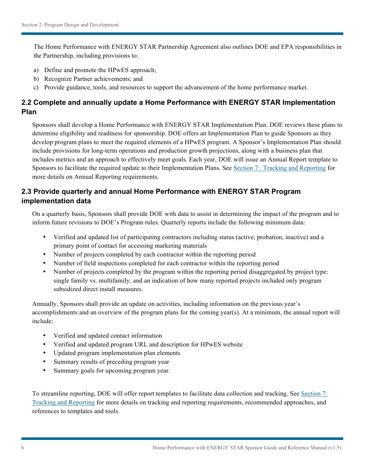The Home Performance with ENERGY STAR Partnership Agreement also outlines DOE and EPA responsibilities in the Partnership, including provisions to:

- a) Define and promote the HPwES approach;
- b) Recognize Partner achievements; and
- c) Provide guidance, tools, and resources to support the advancement of the home performance market.

# **2.2 Complete and annually update a Home Performance with ENERGY STAR Implementation Plan**

Sponsors shall develop a Home Performance with ENERGY STAR Implementation Plan. DOE reviews these plans to determine eligibility and readiness for sponsorship. DOE offers an Implementation Plan to guide Sponsors as they develop program plans to meet the required elements of a HPwES program. A Sponsor's Implementation Plan should include provisions for long-term operations and production growth projections, along with a business plan that includes metrics and an approach to effectively meet goals. Each year, DOE will issue an Annual Report template to Sponsors to facilitate the required update to their Implementation Plans. See Section [7: Tracking](#page-29-0) and Reporting for more details on Annual Reporting requirements.

# **2.3 Provide quarterly and annual Home Performance with ENERGY STAR Program implementation data**

On a quarterly basis, Sponsors shall provide DOE with data to assist in determining the impact of the program and to inform future revisions to DOE's Program rules. Quarterly reports include the following minimum data:

- Verified and updated list of participating contractors including status (active, probation, inactive) and a primary point of contact for accessing marketing materials
- Number of projects completed by each contractor within the reporting period
- Number of field inspections completed for each contractor within the reporting period
- Number of projects completed by the program within the reporting period disaggregated by project type: single family vs. multifamily, and an indication of how many reported projects included only program subsidized direct install measures.

Annually, Sponsors shall provide an update on activities, including information on the previous year's accomplishments and an overview of the program plans for the coming year(s). At a minimum, the annual report will include:

- Verified and updated contact information
- Verified and updated program URL and description for HPwES website
- Updated program implementation plan elements
- Summary results of preceding program year
- Summary goals for upcoming program year.

To streamline reporting, DOE will offer report templates to facilitate data collection and tracking. Se[e Section](#page-29-0) 7: Tracking and [Reporting f](#page-29-0)or more details on tracking and reporting requirements, recommended approaches, and references to templates and tools.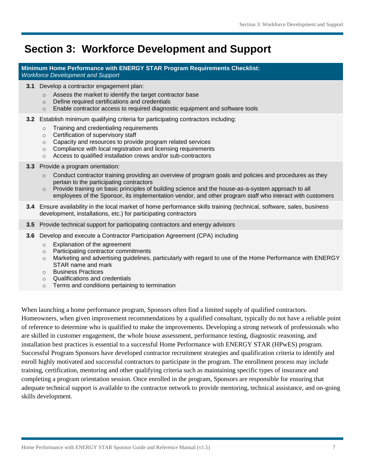# **Section 3: Workforce Development and Support**

**Minimum Home Performance with ENERGY STAR Program Requirements Checklist:**  *Workforce Development and Support* 

- **3.1** Develop a contractor engagement plan:
	- $\circ$  Assess the market to identify the target contractor base
	- $\circ$  Define required certifications and credentials
	- o Enable contractor access to required diagnostic equipment and software tools
- **3.2** Establish minimum qualifying criteria for participating contractors including:
	- o Training and credentialing requirements
	- $\circ$  Certification of supervisory staff
	- $\circ$  Capacity and resources to provide program related services
	- $\circ$  Compliance with local registration and licensing requirements
	- o Access to qualified installation crews and/or sub-contractors
- **3.3** Provide a program orientation:
	- $\circ$  Conduct contractor training providing an overview of program goals and policies and procedures as they pertain to the participating contractors
	- $\circ$  Provide training on basic principles of building science and the house-as-a-system approach to all employees of the Sponsor, its implementation vendor, and other program staff who interact with customers
- **3.4** Ensure availability in the local market of home performance skills training (technical, software, sales, business development, installations, etc.) for participating contractors
- **3.5** Provide technical support for participating contractors and energy advisors
- **3.6** Develop and execute a Contractor Participation Agreement (CPA) including
	- $\circ$  Explanation of the agreement
	- o Participating contractor commitments
	- $\circ$  Marketing and advertising guidelines, particularly with regard to use of the Home Performance with ENERGY STAR name and mark
	- o Business Practices
	- $\circ$  Qualifications and credentials
	- $\circ$  Terms and conditions pertaining to termination

 When launching a home performance program, Sponsors often find a limited supply of qualified contractors. Homeowners, when given improvement recommendations by a qualified consultant, typically do not have a reliable point training, certification, mentoring and other qualifying criteria such as maintaining specific types of insurance and of reference to determine who is qualified to make the improvements. Developing a strong network of professionals who are skilled in customer engagement, the whole house assessment, performance testing, diagnostic reasoning, and installation best practices is essential to a successful Home Performance with ENERGY STAR (HPwES) program. Successful Program Sponsors have developed contractor recruitment strategies and qualification criteria to identify and enroll highly motivated and successful contractors to participate in the program. The enrollment process may include completing a program orientation session. Once enrolled in the program, Sponsors are responsible for ensuring that adequate technical support is available to the contractor network to provide mentoring, technical assistance, and on-going skills development.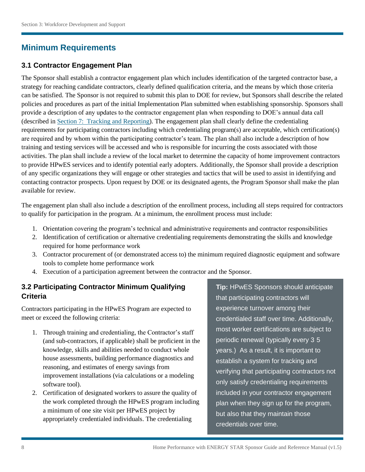# **Minimum Requirements**

## **3.1 Contractor Engagement Plan**

 provide a description of any updates to the contractor engagement plan when responding to DOE's annual data call activities. The plan shall include a review of the local market to determine the capacity of home improvement contractors available for review. The Sponsor shall establish a contractor engagement plan which includes identification of the targeted contractor base, a strategy for reaching candidate contractors, clearly defined qualification criteria, and the means by which those criteria can be satisfied. The Sponsor is not required to submit this plan to DOE for review, but Sponsors shall describe the related policies and procedures as part of the initial Implementation Plan submitted when establishing sponsorship. Sponsors shall (described in [Section 7: Tracking and Reporting\)](#page-29-1). The engagement plan shall clearly define the credentialing requirements for participating contractors including which credentialing program(s) are acceptable, which certification(s) are required and by whom within the participating contractor's team. The plan shall also include a description of how training and testing services will be accessed and who is responsible for incurring the costs associated with those to provide HPwES services and to identify potential early adopters. Additionally, the Sponsor shall provide a description of any specific organizations they will engage or other strategies and tactics that will be used to assist in identifying and contacting contractor prospects. Upon request by DOE or its designated agents, the Program Sponsor shall make the plan

The engagement plan shall also include a description of the enrollment process, including all steps required for contractors to qualify for participation in the program. At a minimum, the enrollment process must include:

- 1. Orientation covering the program's technical and administrative requirements and contractor responsibilities
- 2. Identification of certification or alternative credentialing requirements demonstrating the skills and knowledge required for home performance work
- 3. Contractor procurement of (or demonstrated access to) the minimum required diagnostic equipment and software tools to complete home performance work
- 4. Execution of a participation agreement between the contractor and the Sponsor.

# **3.2 Participating Contractor Minimum Qualifying Criteria**

Contractors participating in the HPwES Program are expected to meet or exceed the following criteria:

- (and sub-contractors, if applicable) shall be proficient in the reasoning, and estimates of energy savings from improvement installations (via calculations or a modeling 1. Through training and credentialing, the Contractor's staff knowledge, skills and abilities needed to conduct whole house assessments, building performance diagnostics and software tool).
- 2. Certification of designated workers to assure the quality of the work completed through the HPwES program including a minimum of one site visit per HPwES project by appropriately credentialed individuals. The credentialing

**Tip:** HPwES Sponsors should anticipate that participating contractors will experience turnover among their credentialed staff over time. Additionally, most worker certifications are subject to periodic renewal (typically every 3 5 years.) As a result, it is important to establish a system for tracking and verifying that participating contractors not only satisfy credentialing requirements included in your contractor engagement plan when they sign up for the program, but also that they maintain those credentials over time.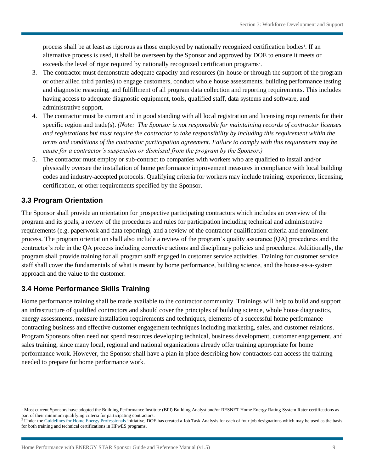alternative process is used, it shall be overseen by the Sponsor and approved by DOE to ensure it meets or process shall be at least as rigorous as those employed by nationally recognized certification bodies<sup>1</sup>. If an exceeds the level of rigor required by nationally recognized certification programs<sup>2</sup>.

- or other allied third parties) to engage customers, conduct whole house assessments, building performance testing 3. The contractor must demonstrate adequate capacity and resources (in-house or through the support of the program and diagnostic reasoning, and fulfillment of all program data collection and reporting requirements. This includes having access to adequate diagnostic equipment, tools, qualified staff, data systems and software, and administrative support.
- 4. The contractor must be current and in good standing with all local registration and licensing requirements for their  specific region and trade(s). *(Note: The Sponsor is not responsible for maintaining records of contractor licenses and registrations but must require the contractor to take responsibility by including this requirement within the terms and conditions of the contractor participation agreement. Failure to comply with this requirement may be cause for a contractor's suspension or dismissal from the program by the Sponsor.)*
- 5. The contractor must employ or sub-contract to companies with workers who are qualified to install and/or physically oversee the installation of home performance improvement measures in compliance with local building codes and industry-accepted protocols. Qualifying criteria for workers may include training, experience, licensing, certification, or other requirements specified by the Sponsor.

# **3.3 Program Orientation**

 program and its goals, a review of the procedures and rules for participation including technical and administrative The Sponsor shall provide an orientation for prospective participating contractors which includes an overview of the requirements (e.g. paperwork and data reporting), and a review of the contractor qualification criteria and enrollment process. The program orientation shall also include a review of the program's quality assurance (QA) procedures and the contractor's role in the QA process including corrective actions and disciplinary policies and procedures. Additionally, the program shall provide training for all program staff engaged in customer service activities. Training for customer service staff shall cover the fundamentals of what is meant by home performance, building science, and the house-as-a-system approach and the value to the customer.

# **3.4 Home Performance Skills Training**

 contracting business and effective customer engagement techniques including marketing, sales, and customer relations. sales training, since many local, regional and national organizations already offer training appropriate for home Home performance training shall be made available to the contractor community. Trainings will help to build and support an infrastructure of qualified contractors and should cover the principles of building science, whole house diagnostics, energy assessments, measure installation requirements and techniques, elements of a successful home performance Program Sponsors often need not spend resources developing technical, business development, customer engagement, and performance work. However, the Sponsor shall have a plan in place describing how contractors can access the training needed to prepare for home performance work.

l <sup>1</sup> Most current Sponsors have adopted the Building Performance Institute (BPI) Building Analyst and/or RESNET Home Energy Rating System Rater certifications as part of their minimum qualifying criteria for participating contractors.

 for both training and technical certifications in HPwES programs.  $<sup>2</sup>$  Under th[e Guidelines for Home Energy Professionals i](http://www1.eere.energy.gov/wip/guidelines_certifications.html)nitiative, DOE has created a Job Task Analysis for each of four job designations which may be used as the basis</sup>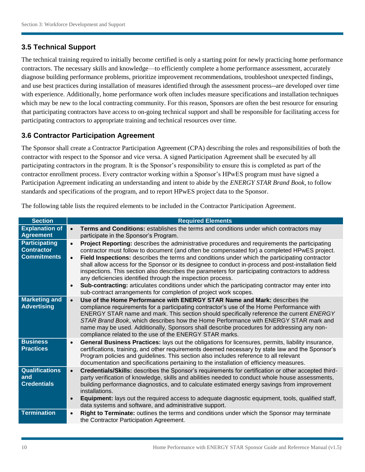# **3.5 Technical Support**

 that participating contractors have access to on-going technical support and shall be responsible for facilitating access for participating contractors to appropriate training and technical resources over time. The technical training required to initially become certified is only a starting point for newly practicing home performance contractors. The necessary skills and knowledge—to efficiently complete a home performance assessment, accurately diagnose building performance problems, prioritize improvement recommendations, troubleshoot unexpected findings, and use best practices during installation of measures identified through the assessment process--are developed over time with experience. Additionally, home performance work often includes measure specifications and installation techniques which may be new to the local contracting community. For this reason, Sponsors are often the best resource for ensuring

# **3.6 Contractor Participation Agreement**

The Sponsor shall create a Contractor Participation Agreement (CPA) describing the roles and responsibilities of both the contractor with respect to the Sponsor and vice versa. A signed Participation Agreement shall be executed by all participating contractors in the program. It is the Sponsor's responsibility to ensure this is completed as part of the contractor enrollment process. Every contractor working within a Sponsor's HPwES program must have signed a Participation Agreement indicating an understanding and intent to abide by the *ENERGY STAR Brand Book*, to follow standards and specifications of the program, and to report HPwES project data to the Sponsor.

The following table lists the required elements to be included in the Contractor Participation Agreement.

| <b>Section</b>                                                  | <b>Required Elements</b>                                                                                                                                                                                                                                                                                                                                                                                                                                                                                                                                                                                                                                                                                                                                                                 |  |  |
|-----------------------------------------------------------------|------------------------------------------------------------------------------------------------------------------------------------------------------------------------------------------------------------------------------------------------------------------------------------------------------------------------------------------------------------------------------------------------------------------------------------------------------------------------------------------------------------------------------------------------------------------------------------------------------------------------------------------------------------------------------------------------------------------------------------------------------------------------------------------|--|--|
| <b>Explanation of</b><br><b>Agreement</b>                       | Terms and Conditions: establishes the terms and conditions under which contractors may<br>$\bullet$<br>participate in the Sponsor's Program.                                                                                                                                                                                                                                                                                                                                                                                                                                                                                                                                                                                                                                             |  |  |
| <b>Participating</b><br><b>Contractor</b><br><b>Commitments</b> | Project Reporting: describes the administrative procedures and requirements the participating<br>$\bullet$<br>contractor must follow to document (and often be compensated for) a completed HPwES project.<br>Field Inspections: describes the terms and conditions under which the participating contractor<br>$\bullet$<br>shall allow access for the Sponsor or its designee to conduct in-process and post-installation field<br>inspections. This section also describes the parameters for participating contractors to address<br>any deficiencies identified through the inspection process.<br>Sub-contracting: articulates conditions under which the participating contractor may enter into<br>$\bullet$<br>sub-contract arrangements for completion of project work scopes. |  |  |
| <b>Marketing and</b><br><b>Advertising</b>                      | Use of the Home Performance with ENERGY STAR Name and Mark: describes the<br>$\bullet$<br>compliance requirements for a participating contractor's use of the Home Performance with<br>ENERGY STAR name and mark. This section should specifically reference the current ENERGY<br>STAR Brand Book, which describes how the Home Performance with ENERGY STAR mark and<br>name may be used. Additionally, Sponsors shall describe procedures for addressing any non-<br>compliance related to the use of the ENERGY STAR marks.                                                                                                                                                                                                                                                          |  |  |
| <b>Business</b><br><b>Practices</b>                             | General Business Practices: lays out the obligations for licensures, permits, liability insurance,<br>$\bullet$<br>certifications, training, and other requirements deemed necessary by state law and the Sponsor's<br>Program policies and guidelines. This section also includes reference to all relevant<br>documentation and specifications pertaining to the installation of efficiency measures.                                                                                                                                                                                                                                                                                                                                                                                  |  |  |
| <b>Qualifications</b><br>and<br><b>Credentials</b>              | Credentials/Skills: describes the Sponsor's requirements for certification or other accepted third-<br>$\bullet$<br>party verification of knowledge, skills and abilities needed to conduct whole house assessments,<br>building performance diagnostics, and to calculate estimated energy savings from improvement<br>installations.<br>Equipment: lays out the required access to adequate diagnostic equipment, tools, qualified staff,<br>$\bullet$<br>data systems and software, and administrative support.                                                                                                                                                                                                                                                                       |  |  |
| <b>Termination</b>                                              | Right to Terminate: outlines the terms and conditions under which the Sponsor may terminate<br>$\bullet$<br>the Contractor Participation Agreement.                                                                                                                                                                                                                                                                                                                                                                                                                                                                                                                                                                                                                                      |  |  |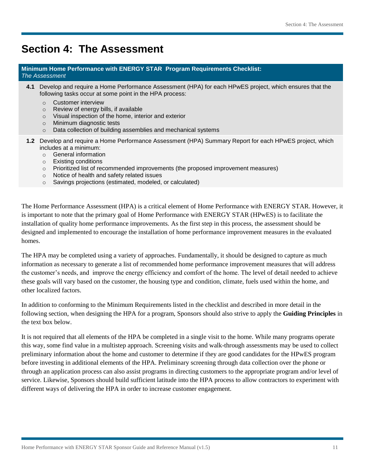# <span id="page-10-0"></span>**Section 4: The Assessment**

#### **Minimum Home Performance with ENERGY STAR Program Requirements Checklist:**  *The Assessment*

- **4.1** Develop and require a Home Performance Assessment (HPA) for each HPwES project, which ensures that the following tasks occur at some point in the HPA process:
	- o Customer interview
	- o Review of energy bills, if available
	- o Visual inspection of the home, interior and exterior
	- o Minimum diagnostic tests
	- o Data collection of building assemblies and mechanical systems
- **1.2** Develop and require a Home Performance Assessment (HPA) Summary Report for each HPwES project, which includes at a minimum:
	- o General information
	- o Existing conditions
	- o Prioritized list of recommended improvements (the proposed improvement measures)
	- o Notice of health and safety related issues
	- o Savings projections (estimated, modeled, or calculated)

 installation of quality home performance improvements. As the first step in this process, the assessment should be The Home Performance Assessment (HPA) is a critical element of Home Performance with ENERGY STAR. However, it is important to note that the primary goal of Home Performance with ENERGY STAR (HPwES) is to facilitate the designed and implemented to encourage the installation of home performance improvement measures in the evaluated homes.

The HPA may be completed using a variety of approaches. Fundamentally, it should be designed to capture as much information as necessary to generate a list of recommended home performance improvement measures that will address the customer's needs, and improve the energy efficiency and comfort of the home. The level of detail needed to achieve these goals will vary based on the customer, the housing type and condition, climate, fuels used within the home, and other localized factors.

In addition to conforming to the Minimum Requirements listed in the checklist and described in more detail in the following section, when designing the HPA for a program, Sponsors should also strive to apply the **Guiding Principles** in the text box below.

 before investing in additional elements of the HPA. Preliminary screening through data collection over the phone or through an application process can also assist programs in directing customers to the appropriate program and/or level of service. Likewise, Sponsors should build sufficient latitude into the HPA process to allow contractors to experiment with It is not required that all elements of the HPA be completed in a single visit to the home. While many programs operate this way, some find value in a multistep approach. Screening visits and walk-through assessments may be used to collect preliminary information about the home and customer to determine if they are good candidates for the HPwES program different ways of delivering the HPA in order to increase customer engagement.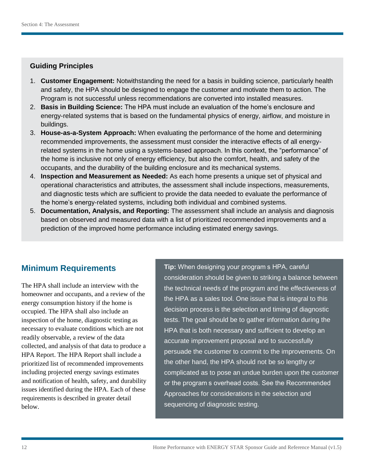## **Guiding Principles**

- 1. **Customer Engagement:** Notwithstanding the need for a basis in building science, particularly health and safety, the HPA should be designed to engage the customer and motivate them to action. The Program is not successful unless recommendations are converted into installed measures.
- 2. **Basis in Building Science:** The HPA must include an evaluation of the home's enclosure and energy-related systems that is based on the fundamental physics of energy, airflow, and moisture in buildings.
- 3. **House-as-a-System Approach:** When evaluating the performance of the home and determining recommended improvements, the assessment must consider the interactive effects of all energy- related systems in the home using a systems-based approach. In this context, the "performance" of the home is inclusive not only of energy efficiency, but also the comfort, health, and safety of the occupants, and the durability of the building enclosure and its mechanical systems.
- 4. **Inspection and Measurement as Needed:** As each home presents a unique set of physical and operational characteristics and attributes, the assessment shall include inspections, measurements, and diagnostic tests which are sufficient to provide the data needed to evaluate the performance of the home's energy-related systems, including both individual and combined systems.
- 5. **Documentation, Analysis, and Reporting:** The assessment shall include an analysis and diagnosis based on observed and measured data with a list of prioritized recommended improvements and a prediction of the improved home performance including estimated energy savings.

# **Minimum Requirements**

 homeowner and occupants, and a review of the HPA Report. The HPA Report shall include a including projected energy savings estimates issues identified during the HPA. Each of these The HPA shall include an interview with the energy consumption history if the home is occupied. The HPA shall also include an inspection of the home, diagnostic testing as necessary to evaluate conditions which are not readily observable, a review of the data collected, and analysis of that data to produce a prioritized list of recommended improvements and notification of health, safety, and durability requirements is described in greater detail below.

**Tip:** When designing your program s HPA, careful consideration should be given to striking a balance between the technical needs of the program and the effectiveness of the HPA as a sales tool. One issue that is integral to this decision process is the selection and timing of diagnostic tests. The goal should be to gather information during the HPA that is both necessary and sufficient to develop an accurate improvement proposal and to successfully persuade the customer to commit to the improvements. On the other hand, the HPA should not be so lengthy or or the program s overhead costs. See the Recommended Approaches for considerations in the selection and sequencing of diagnostic testing. complicated as to pose an undue burden upon the customer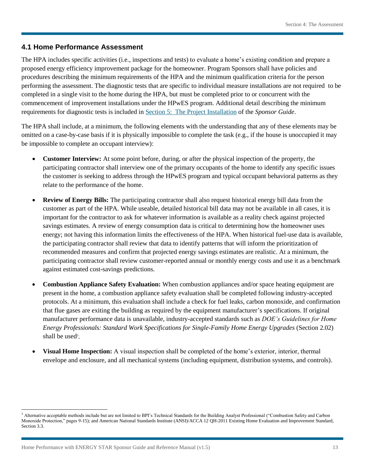#### **4.1 Home Performance Assessment**

 The HPA includes specific activities (i.e., inspections and tests) to evaluate a home's existing condition and prepare a performing the assessment. The diagnostic tests that are specific to individual measure installations are not required to be proposed energy efficiency improvement package for the homeowner. Program Sponsors shall have policies and procedures describing the minimum requirements of the HPA and the minimum qualification criteria for the person completed in a single visit to the home during the HPA, but must be completed prior to or concurrent with the commencement of improvement installations under the HPwES program. Additional detail describing the minimum requirements for diagnostic tests is included in [Section 5: The Project Installation](#page-17-0) of the *Sponsor Guide*.

 The HPA shall include, at a minimum, the following elements with the understanding that any of these elements may be be impossible to complete an occupant interview): omitted on a case-by-case basis if it is physically impossible to complete the task (e.g., if the house is unoccupied it may

- **Customer Interview:** At some point before, during, or after the physical inspection of the property, the participating contractor shall interview one of the primary occupants of the home to identify any specific issues the customer is seeking to address through the HPwES program and typical occupant behavioral patterns as they relate to the performance of the home.
- **Review of Energy Bills:** The participating contractor shall also request historical energy bill data from the participating contractor shall review customer-reported annual or monthly energy costs and use it as a benchmark customer as part of the HPA. While useable, detailed historical bill data may not be available in all cases, it is important for the contractor to ask for whatever information is available as a reality check against projected savings estimates. A review of energy consumption data is critical to determining how the homeowner uses energy; not having this information limits the effectiveness of the HPA. When historical fuel-use data is available, the participating contractor shall review that data to identify patterns that will inform the prioritization of recommended measures and confirm that projected energy savings estimates are realistic. At a minimum, the against estimated cost-savings predictions.
- protocols. At a minimum, this evaluation shall include a check for fuel leaks, carbon monoxide, and confirmation *Energy Professionals: Standard Work Specifications for Single-Family Home Energy Upgrades* (Section 2.02) **Combustion Appliance Safety Evaluation:** When combustion appliances and/or space heating equipment are present in the home, a combustion appliance safety evaluation shall be completed following industry-accepted that flue gases are exiting the building as required by the equipment manufacturer's specifications. If original manufacturer performance data is unavailable, industry-accepted standards such as *DOE's Guidelines for Home*  shall be used<sup>3</sup>.
- **Visual Home Inspection:** A visual inspection shall be completed of the home's exterior, interior, thermal envelope and enclosure, and all mechanical systems (including equipment, distribution systems, and controls).

 $\overline{\phantom{a}}$ 

 Monoxide Protection," pages 9-15); and American National Standards Institute (ANSI)/ACCA 12 QH-2011 Existing Home Evaluation and Improvement Standard, Section 3.3. <sup>3</sup> Alternative acceptable methods include but are not limited to BPI's Technical Standards for the Building Analyst Professional ("Combustion Safety and Carbon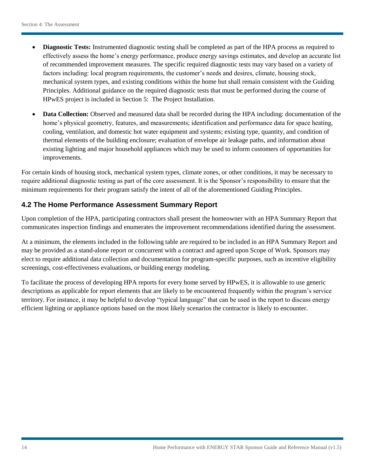- mechanical system types, and existing conditions within the home but shall remain consistent with the Guiding Principles. Additional guidance on the required diagnostic tests that must be performed during the course of **Diagnostic Tests:** Instrumented diagnostic testing shall be completed as part of the HPA process as required to effectively assess the home's energy performance, produce energy savings estimates, and develop an accurate list of recommended improvement measures. The specific required diagnostic tests may vary based on a variety of factors including: local program requirements, the customer's needs and desires, climate, housing stock, HPwES project is included in [Section 5: The Project Installation.](#page-17-0)
- cooling, ventilation, and domestic hot water equipment and systems; existing type, quantity, and condition of **Data Collection:** Observed and measured data shall be recorded during the HPA including: documentation of the home's physical geometry, features, and measurements; identification and performance data for space heating, thermal elements of the building enclosure; evaluation of envelope air leakage paths, and information about existing lighting and major household appliances which may be used to inform customers of opportunities for improvements.

 minimum requirements for their program satisfy the intent of all of the aforementioned Guiding Principles. For certain kinds of housing stock, mechanical system types, climate zones, or other conditions, it may be necessary to require additional diagnostic testing as part of the core assessment. It is the Sponsor's responsibility to ensure that the

# **4.2 The Home Performance Assessment Summary Report**

 Upon completion of the HPA, participating contractors shall present the homeowner with an HPA Summary Report that communicates inspection findings and enumerates the improvement recommendations identified during the assessment.

 At a minimum, the elements included in the following table are required to be included in an HPA Summary Report and screenings, cost-effectiveness evaluations, or building energy modeling. may be provided as a stand-alone report or concurrent with a contract and agreed upon Scope of Work. Sponsors may elect to require additional data collection and documentation for program-specific purposes, such as incentive eligibility

To facilitate the process of developing HPA reports for every home served by HPwES, it is allowable to use generic descriptions as applicable for report elements that are likely to be encountered frequently within the program's service territory. For instance, it may be helpful to develop "typical language" that can be used in the report to discuss energy efficient lighting or appliance options based on the most likely scenarios the contractor is likely to encounter.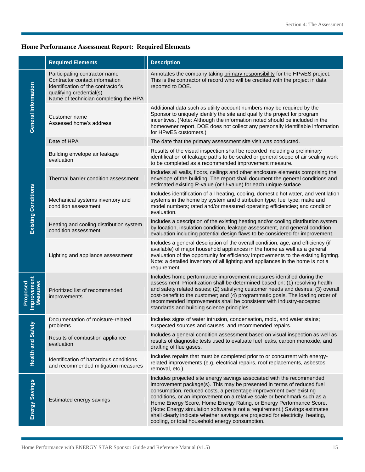#### **Home Performance Assessment Report: Required Elements**

|                                            | <b>Required Elements</b>                                                                                                                                                   | <b>Description</b>                                                                                                                                                                                                                                                                                                                                                                                                                                                                                                                                                                           |
|--------------------------------------------|----------------------------------------------------------------------------------------------------------------------------------------------------------------------------|----------------------------------------------------------------------------------------------------------------------------------------------------------------------------------------------------------------------------------------------------------------------------------------------------------------------------------------------------------------------------------------------------------------------------------------------------------------------------------------------------------------------------------------------------------------------------------------------|
| <b>General Information</b>                 | Participating contractor name<br>Contractor contact information<br>Identification of the contractor's<br>qualifying credential(s)<br>Name of technician completing the HPA | Annotates the company taking primary responsibility for the HPwES project.<br>This is the contractor of record who will be credited with the project in data<br>reported to DOE.                                                                                                                                                                                                                                                                                                                                                                                                             |
|                                            | Customer name<br>Assessed home's address                                                                                                                                   | Additional data such as utility account numbers may be required by the<br>Sponsor to uniquely identify the site and qualify the project for program<br>incentives. (Note: Although the information noted should be included in the<br>homeowner report, DOE does not collect any personally identifiable information<br>for HPwES customers.)                                                                                                                                                                                                                                                |
|                                            | Date of HPA                                                                                                                                                                | The date that the primary assessment site visit was conducted.                                                                                                                                                                                                                                                                                                                                                                                                                                                                                                                               |
| <b>Existing Conditions</b>                 | Building envelope air leakage<br>evaluation                                                                                                                                | Results of the visual inspection shall be recorded including a preliminary<br>identification of leakage paths to be sealed or general scope of air sealing work<br>to be completed as a recommended improvement measure.                                                                                                                                                                                                                                                                                                                                                                     |
|                                            | Thermal barrier condition assessment                                                                                                                                       | Includes all walls, floors, ceilings and other enclosure elements comprising the<br>envelope of the building. The report shall document the general conditions and<br>estimated existing R-value (or U-value) for each unique surface.                                                                                                                                                                                                                                                                                                                                                       |
|                                            | Mechanical systems inventory and<br>condition assessment                                                                                                                   | Includes identification of all heating, cooling, domestic hot water, and ventilation<br>systems in the home by system and distribution type; fuel type; make and<br>model numbers; rated and/or measured operating efficiencies; and condition<br>evaluation.                                                                                                                                                                                                                                                                                                                                |
|                                            | Heating and cooling distribution system<br>condition assessment                                                                                                            | Includes a description of the existing heating and/or cooling distribution system<br>by location, insulation condition, leakage assessment, and general condition<br>evaluation including potential design flaws to be considered for improvement.                                                                                                                                                                                                                                                                                                                                           |
|                                            | Lighting and appliance assessment                                                                                                                                          | Includes a general description of the overall condition, age, and efficiency (if<br>available) of major household appliances in the home as well as a general<br>evaluation of the opportunity for efficiency improvements to the existing lighting.<br>Note: a detailed inventory of all lighting and appliances in the home is not a<br>requirement.                                                                                                                                                                                                                                       |
| Improvement<br>Proposed<br><b>Measures</b> | Prioritized list of recommended<br>improvements                                                                                                                            | Includes home performance improvement measures identified during the<br>assessment. Prioritization shall be determined based on: (1) resolving health<br>and safety related issues; (2) satisfying customer needs and desires; (3) overall<br>cost-benefit to the customer; and (4) programmatic goals. The loading order of<br>recommended improvements shall be consistent with industry-accepted<br>standards and building science principles.                                                                                                                                            |
| <b>Health and Safety</b>                   | Documentation of moisture-related<br>problems                                                                                                                              | Includes signs of water intrusion, condensation, mold, and water stains;<br>suspected sources and causes; and recommended repairs.                                                                                                                                                                                                                                                                                                                                                                                                                                                           |
|                                            | Results of combustion appliance<br>evaluation                                                                                                                              | Includes a general condition assessment based on visual inspection as well as<br>results of diagnostic tests used to evaluate fuel leaks, carbon monoxide, and<br>drafting of flue gases.                                                                                                                                                                                                                                                                                                                                                                                                    |
|                                            | Identification of hazardous conditions<br>and recommended mitigation measures                                                                                              | Includes repairs that must be completed prior to or concurrent with energy-<br>related improvements (e.g. electrical repairs, roof replacements, asbestos<br>removal, etc.).                                                                                                                                                                                                                                                                                                                                                                                                                 |
| Energy Savings                             | Estimated energy savings                                                                                                                                                   | Includes projected site energy savings associated with the recommended<br>improvement package(s). This may be presented in terms of reduced fuel<br>consumption, reduced costs, a percentage improvement over existing<br>conditions, or an improvement on a relative scale or benchmark such as a<br>Home Energy Score, Home Energy Rating, or Energy Performance Score.<br>(Note: Energy simulation software is not a requirement.) Savings estimates<br>shall clearly indicate whether savings are projected for electricity, heating,<br>cooling, or total household energy consumption. |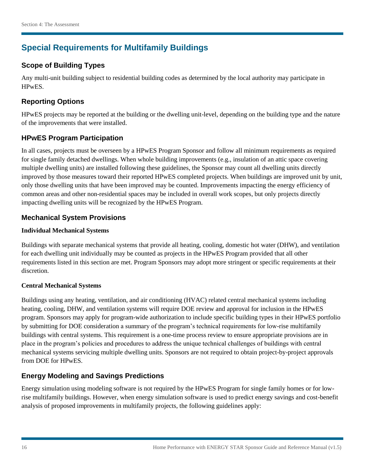# **Special Requirements for Multifamily Buildings**

# **Scope of Building Types**

Any multi-unit building subject to residential building codes as determined by the local authority may participate in HPwES.

## **Reporting Options**

HPwES projects may be reported at the building or the dwelling unit-level, depending on the building type and the nature of the improvements that were installed.

## **HPwES Program Participation**

 multiple dwelling units) are installed following these guidelines, the Sponsor may count all dwelling units directly improved by those measures toward their reported HPwES completed projects. When buildings are improved unit by unit, common areas and other non-residential spaces may be included in overall work scopes, but only projects directly In all cases, projects must be overseen by a HPwES Program Sponsor and follow all minimum requirements as required for single family detached dwellings. When whole building improvements (e.g., insulation of an attic space covering only those dwelling units that have been improved may be counted. Improvements impacting the energy efficiency of impacting dwelling units will be recognized by the HPwES Program.

### **Mechanical System Provisions**

#### **Individual Mechanical Systems**

 requirements listed in this section are met. Program Sponsors may adopt more stringent or specific requirements at their Buildings with separate mechanical systems that provide all heating, cooling, domestic hot water (DHW), and ventilation for each dwelling unit individually may be counted as projects in the HPwES Program provided that all other discretion.

#### **Central Mechanical Systems**

Buildings using any heating, ventilation, and air conditioning (HVAC) related central mechanical systems including heating, cooling, DHW, and ventilation systems will require DOE review and approval for inclusion in the HPwES program. Sponsors may apply for program-wide authorization to include specific building types in their HPwES portfolio by submitting for DOE consideration a summary of the program's technical requirements for low-rise multifamily buildings with central systems. This requirement is a one-time process review to ensure appropriate provisions are in place in the program's policies and procedures to address the unique technical challenges of buildings with central mechanical systems servicing multiple dwelling units. Sponsors are not required to obtain project-by-project approvals from DOE for HPwES.

# **Energy Modeling and Savings Predictions**

analysis of proposed improvements in multifamily projects, the following guidelines apply: Energy simulation using modeling software is not required by the HPwES Program for single family homes or for lowrise multifamily buildings. However, when energy simulation software is used to predict energy savings and cost-benefit analysis of proposed improvements in multifamily projects, the following guidelines apply:<br>
16 Home Performance with ENERGY STAR Sponsor Guide and Reference Manual (v1.5)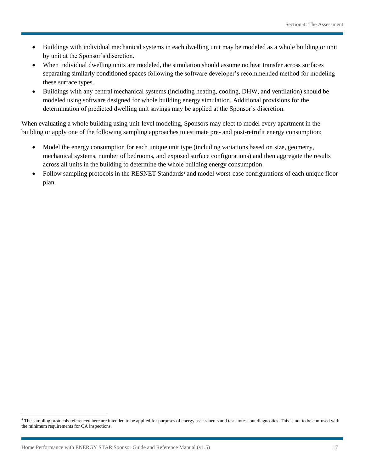- Buildings with individual mechanical systems in each dwelling unit may be modeled as a whole building or unit by unit at the Sponsor's discretion.
- these surface types. When individual dwelling units are modeled, the simulation should assume no heat transfer across surfaces separating similarly conditioned spaces following the software developer's recommended method for modeling
- Buildings with any central mechanical systems (including heating, cooling, DHW, and ventilation) should be modeled using software designed for whole building energy simulation. Additional provisions for the determination of predicted dwelling unit savings may be applied at the Sponsor's discretion.

 building or apply one of the following sampling approaches to estimate pre- and post-retrofit energy consumption: When evaluating a whole building using unit-level modeling, Sponsors may elect to model every apartment in the

- Model the energy consumption for each unique unit type (including variations based on size, geometry, mechanical systems, number of bedrooms, and exposed surface configurations) and then aggregate the results across all units in the building to determine the whole building energy consumption.
- Follow sampling protocols in the RESNET Standards<sup>4</sup> and model worst-case configurations of each unique floor plan.

l

<sup>&</sup>lt;sup>4</sup> The sampling protocols referenced here are intended to be applied for purposes of energy assessments and test-in/test-out diagnostics. This is not to be confused with the minimum requirements for QA inspections.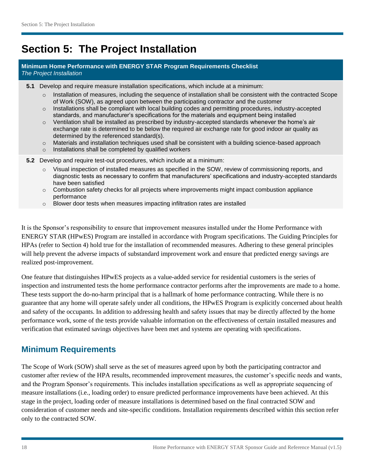# <span id="page-17-0"></span>**Section 5: The Project Installation**

#### **Minimum Home Performance with ENERGY STAR Program Requirements Checklist**  *The Project Installation*

- **5.1** Develop and require measure installation specifications, which include at a minimum:
	- Installation of measures, including the sequence of installation shall be consistent with the contracted Scope of Work (SOW), as agreed upon between the participating contractor and the customer
	- $\circ$  Installations shall be compliant with local building codes and permitting procedures, industry-accepted standards, and manufacturer's specifications for the materials and equipment being installed
	- $\circ$  Ventilation shall be installed as prescribed by industry-accepted standards whenever the home's air exchange rate is determined to be below the required air exchange rate for good indoor air quality as determined by the referenced standard(s).
	- $\circ$  Materials and installation techniques used shall be consistent with a building science-based approach
	- $\circ$  Installations shall be completed by qualified workers
- **5.2** Develop and require test-out procedures, which include at a minimum:
	- $\circ$  Visual inspection of installed measures as specified in the SOW, review of commissioning reports, and diagnostic tests as necessary to confirm that manufacturers' specifications and industry-accepted standards have been satisfied
	- $\circ$  Combustion safety checks for all projects where improvements might impact combustion appliance performance
	- o Blower door tests when measures impacting infiltration rates are installed

 ENERGY STAR (HPwES) Program are installed in accordance with Program specifications. The Guiding Principles for HPAs (refer to Section 4) hold true for the installation of recommended measures. Adhering to these general principles It is the Sponsor's responsibility to ensure that improvement measures installed under the Home Performance with will help prevent the adverse impacts of substandard improvement work and ensure that predicted energy savings are realized post-improvement.

 One feature that distinguishes HPwES projects as a value-added service for residential customers is the series of guarantee that any home will operate safely under all conditions, the HPwES Program is explicitly concerned about health inspection and instrumented tests the home performance contractor performs after the improvements are made to a home. These tests support the do-no-harm principal that is a hallmark of home performance contracting. While there is no and safety of the occupants. In addition to addressing health and safety issues that may be directly affected by the home performance work, some of the tests provide valuable information on the effectiveness of certain installed measures and verification that estimated savings objectives have been met and systems are operating with specifications.

# **Minimum Requirements**

The Scope of Work (SOW) shall serve as the set of measures agreed upon by both the participating contractor and customer after review of the HPA results, recommended improvement measures, the customer's specific needs and wants, and the Program Sponsor's requirements. This includes installation specifications as well as appropriate sequencing of measure installations (i.e., loading order) to ensure predicted performance improvements have been achieved. At this stage in the project, loading order of measure installations is determined based on the final contracted SOW and consideration of customer needs and site-specific conditions. Installation requirements described within this section refer only to the contracted SOW.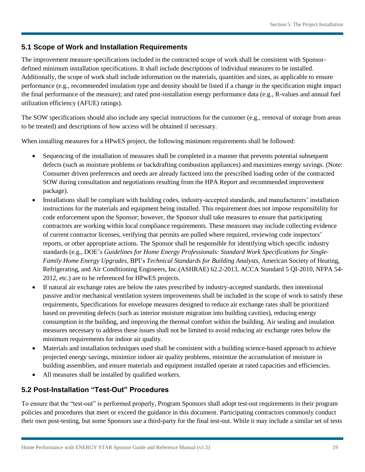## **5.1 Scope of Work and Installation Requirements**

 Additionally, the scope of work shall include information on the materials, quantities and sizes, as applicable to ensure the final performance of the measure); and rated post-installation energy performance data (e.g., R-values and annual fuel utilization efficiency (AFUE) ratings). The improvement measure specifications included in the contracted scope of work shall be consistent with Sponsordefined minimum installation specifications. It shall include descriptions of individual measures to be installed. performance (e.g., recommended insulation type and density should be listed if a change in the specification might impact

The SOW specifications should also include any special instructions for the customer (e.g., removal of storage from areas to be treated) and descriptions of how access will be obtained if necessary.

When installing measures for a HPwES project, the following minimum requirements shall be followed:

- Sequencing of the installation of measures shall be completed in a manner that prevents potential subsequent SOW during consultation and negotiations resulting from the HPA Report and recommended improvement defects (such as moisture problems or backdrafting combustion appliances) and maximizes energy savings. (Note: Consumer driven preferences and needs are already factored into the prescribed loading order of the contracted package).
- instructions for the materials and equipment being installed. This requirement does not impose responsibility for code enforcement upon the Sponsor; however, the Sponsor shall take measures to ensure that participating Installations shall be compliant with building codes, industry-accepted standards, and manufacturers' installation contractors are working within local compliance requirements. These measures may include collecting evidence of current contractor licenses, verifying that permits are pulled where required, reviewing code inspectors' reports, or other appropriate actions. The Sponsor shall be responsible for identifying which specific industry standards (e.g., DOE's *Guidelines for Home Energy Professionals: Standard Work Specifications for Single-Family Home Energy Upgrades*, BPI's *Technical Standards for Building Analysts*, American Society of Heating, Refrigerating, and Air Conditioning Engineers, Inc.(ASHRAE) 62.2-2013, ACCA Standard 5 QI-2010, NFPA 54- 2012, etc.) are to be referenced for HPwES projects.
- If natural air exchange rates are below the rates prescribed by industry-accepted standards, then intentional measures necessary to address these issues shall not be limited to avoid reducing air exchange rates below the passive and/or mechanical ventilation system improvements shall be included in the scope of work to satisfy these requirements, Specifications for envelope measures designed to reduce air exchange rates shall be prioritized based on preventing defects (such as interior moisture migration into building cavities), reducing energy consumption in the building, and improving the thermal comfort within the building. Air sealing and insulation minimum requirements for indoor air quality.
- Materials and installation techniques used shall be consistent with a building science-based approach to achieve projected energy savings, minimize indoor air quality problems, minimize the accumulation of moisture in building assemblies, and ensure materials and equipment installed operate at rated capacities and efficiencies.
- All measures shall be installed by qualified workers.

# **5.2 Post-Installation "Test-Out" Procedures**

 To ensure that the "test-out" is performed properly, Program Sponsors shall adopt test-out requirements in their program policies and procedures that meet or exceed the guidance in this document. Participating contractors commonly conduct their own post-testing, but some Sponsors use a third-party for the final test-out. While it may include a similar set of tests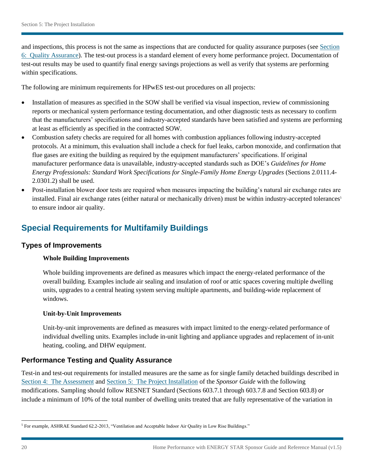and inspections, this process is not the same as inspections that are conducted for quality assurance purposes (se[e Section](#page-21-0)  [6: Quality Assurance\)](#page-21-0). The test-out process is a standard element of every home performance project. Documentation of test-out results may be used to quantify final energy savings projections as well as verify that systems are performing within specifications.

The following are minimum requirements for HPwES test-out procedures on all projects:

- Installation of measures as specified in the SOW shall be verified via visual inspection, review of commissioning reports or mechanical system performance testing documentation, and other diagnostic tests as necessary to confirm that the manufacturers' specifications and industry-accepted standards have been satisfied and systems are performing at least as efficiently as specified in the contracted SOW.
- protocols. At a minimum, this evaluation shall include a check for fuel leaks, carbon monoxide, and confirmation that • Combustion safety checks are required for all homes with combustion appliances following industry-accepted flue gases are exiting the building as required by the equipment manufacturers' specifications. If original manufacturer performance data is unavailable, industry-accepted standards such as DOE's *Guidelines for Home Energy Professionals: Standard Work Specifications for Single-Family Home Energy Upgrades* (Sections 2.0111.4- 2.0301.2) shall be used.
- to ensure indoor air quality. Post-installation blower door tests are required when measures impacting the building's natural air exchange rates are installed. Final air exchange rates (either natural or mechanically driven) must be within industry-accepted tolerances<sup>5</sup>

# **Special Requirements for Multifamily Buildings**

#### **Types of Improvements**

#### **Whole Building Improvements**

 units, upgrades to a central heating system serving multiple apartments, and building-wide replacement of Whole building improvements are defined as measures which impact the energy-related performance of the overall building. Examples include air sealing and insulation of roof or attic spaces covering multiple dwelling windows.

#### **Unit-by-Unit Improvements**

 individual dwelling units. Examples include in-unit lighting and appliance upgrades and replacement of in-unit Unit-by-unit improvements are defined as measures with impact limited to the energy-related performance of heating, cooling, and DHW equipment.

### **Performance Testing and Quality Assurance**

 [Section 4: The Assessment](#page-10-0) and [Section 5: The Project Installation](#page-17-0) of the *Sponsor Guide* with the following Test-in and test-out requirements for installed measures are the same as for single family detached buildings described in modifications. Sampling should follow RESNET Standard (Sections 603.7.1 through 603.7.8 and Section 603.8) or include a minimum of 10% of the total number of dwelling units treated that are fully representative of the variation in

 $\overline{\phantom{a}}$ <sup>5</sup> For example, ASHRAE Standard 62.2-2013, "Ventilation and Acceptable Indoor Air Quality in Low Rise Buildings."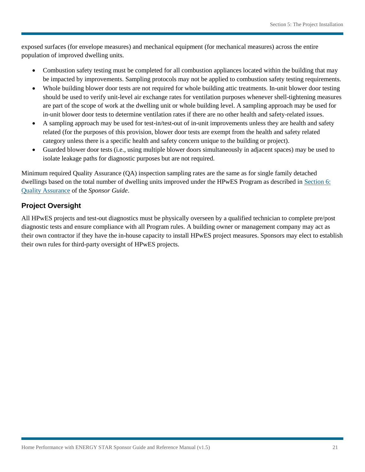exposed surfaces (for envelope measures) and mechanical equipment (for mechanical measures) across the entire population of improved dwelling units.

- Combustion safety testing must be completed for all combustion appliances located within the building that may be impacted by improvements. Sampling protocols may not be applied to combustion safety testing requirements.
- Whole building blower door tests are not required for whole building attic treatments. In-unit blower door testing should be used to verify unit-level air exchange rates for ventilation purposes whenever shell-tightening measures are part of the scope of work at the dwelling unit or whole building level. A sampling approach may be used for in-unit blower door tests to determine ventilation rates if there are no other health and safety-related issues.
- category unless there is a specific health and safety concern unique to the building or project). A sampling approach may be used for test-in/test-out of in-unit improvements unless they are health and safety related (for the purposes of this provision, blower door tests are exempt from the health and safety related
- Guarded blower door tests (i.e., using multiple blower doors simultaneously in adjacent spaces) may be used to isolate leakage paths for diagnostic purposes but are not required.

 dwellings based on the total number of dwelling units improved under the HPwES Program as described in [Section 6: Quality Assurance](#page-21-0) of the *Sponsor Guide*. Quality Assurance of the Sponsor Guide. Minimum required Quality Assurance (QA) inspection sampling rates are the same as for single family detached

## **Project Oversight**

 diagnostic tests and ensure compliance with all Program rules. A building owner or management company may act as their own rules for third-party oversight of HPwES projects. All HPwES projects and test-out diagnostics must be physically overseen by a qualified technician to complete pre/post their own contractor if they have the in-house capacity to install HPwES project measures. Sponsors may elect to establish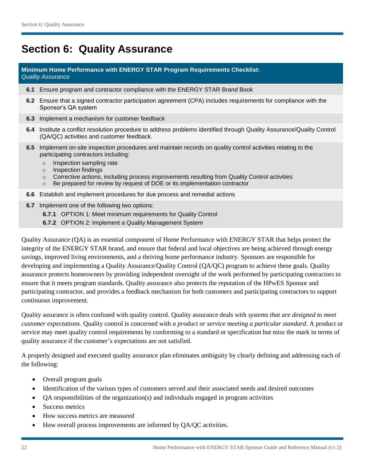# <span id="page-21-0"></span>**Section 6: Quality Assurance**

#### **Minimum Home Performance with ENERGY STAR Program Requirements Checklist:**  *Quality Assurance*

- **6.1** Ensure program and contractor compliance with the ENERGY STAR Brand Book
- **6.2** Ensure that a signed contractor participation agreement (CPA) includes requirements for compliance with the Sponsor's QA system
- **6.3** Implement a mechanism for customer feedback
- **6.4** Institute a conflict resolution procedure to address problems identified through Quality Assurance/Quality Control (QA/QC) activities and customer feedback.
- **6.5** Implement on-site inspection procedures and maintain records on quality control activities relating to the participating contractors including:
	- o Inspection sampling rate
	- o Inspection findings
	- o Corrective actions, including process improvements resulting from Quality Control activities
	- o Be prepared for review by request of DOE or its implementation contractor
- **6.6** Establish and implement procedures for due process and remedial actions
- **6.7** Implement one of the following two options:
	- **6.7.1** OPTION 1: Meet minimum requirements for Quality Control
	- **6.7.2** OPTION 2: Implement a Quality Management System

 Quality Assurance (QA) is an essential component of Home Performance with ENERGY STAR that helps protect the integrity of the ENERGY STAR brand, and ensure that federal and local objectives are being achieved through energy developing and implementing a Quality Assurance/Quality Control (QA/QC) program to achieve these goals. Quality assurance protects homeowners by providing independent oversight of the work performed by participating contractors to ensure that it meets program standards. Quality assurance also protects the reputation of the HPwES Sponsor and participating contractor, and provides a feedback mechanism for both customers and participating contractors to support savings, improved living environments, and a thriving home performance industry. Sponsors are responsible for continuous improvement.

 service may meet quality control requirements by conforming to a standard or specification but miss the mark in terms of quality assurance if the customer's expectations are not satisfied. Quality assurance is often confused with quality control. Quality assurance deals with *systems that are designed to meet customer expectations*. Quality control is concerned with *a product or service meeting a particular standard*. A product or

A properly designed and executed quality assurance plan eliminates ambiguity by clearly defining and addressing each of the following:

- Overall program goals
- Identification of the various types of customers served and their associated needs and desired outcomes
- QA responsibilities of the organization(s) and individuals engaged in program activities
- Success metrics
- How success metrics are measured
- How overall process improvements are informed by QA/QC activities.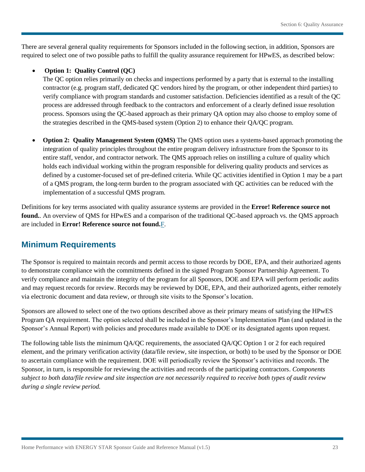There are several general quality requirements for Sponsors included in the following section, in addition, Sponsors are required to select one of two possible paths to fulfill the quality assurance requirement for HPwES, as described below:

#### **Option 1: Quality Control (QC)**

 verify compliance with program standards and customer satisfaction. Deficiencies identified as a result of the QC the strategies described in the QMS-based system (Option 2) to enhance their QA/QC program. The QC option relies primarily on checks and inspections performed by a party that is external to the installing contractor (e.g. program staff, dedicated QC vendors hired by the program, or other independent third parties) to process are addressed through feedback to the contractors and enforcement of a clearly defined issue resolution process. Sponsors using the QC-based approach as their primary QA option may also choose to employ some of

 **Option 2: Quality Management System (QMS)** The QMS option uses a systems-based approach promoting the integration of quality principles throughout the entire program delivery infrastructure from the Sponsor to its entire staff, vendor, and contractor network. The QMS approach relies on instilling a culture of quality which holds each individual working within the program responsible for delivering quality products and services as defined by a customer-focused set of pre-defined criteria. While QC activities identified in Option 1 may be a part of a QMS program, the long-term burden to the program associated with QC activities can be reduced with the implementation of a successful QMS program.

Definitions for key terms associated with quality assurance systems are provided in the **Error! Reference source not found.**. An overview of QMS for HPwES and a comparison of the traditional QC-based approach vs. the QMS approach are included in **Error! Reference source not found.**F.

# **Minimum Requirements**

The Sponsor is required to maintain records and permit access to those records by DOE, EPA, and their authorized agents to demonstrate compliance with the commitments defined in the signed Program Sponsor Partnership Agreement. To verify compliance and maintain the integrity of the program for all Sponsors, DOE and EPA will perform periodic audits and may request records for review. Records may be reviewed by DOE, EPA, and their authorized agents, either remotely via electronic document and data review, or through site visits to the Sponsor's location.

 Sponsors are allowed to select one of the two options described above as their primary means of satisfying the HPwES Program QA requirement. The option selected shall be included in the Sponsor's Implementation Plan (and updated in the Sponsor's Annual Report) with policies and procedures made available to DOE or its designated agents upon request.

 The following table lists the minimum QA/QC requirements, the associated QA/QC Option 1 or 2 for each required  *subject to both data/file review and site inspection are not necessarily required to receive both types of audit review*  element, and the primary verification activity (data/file review, site inspection, or both) to be used by the Sponsor or DOE to ascertain compliance with the requirement. DOE will periodically review the Sponsor's activities and records. The Sponsor, in turn, is responsible for reviewing the activities and records of the participating contractors. *Components during a single review period.*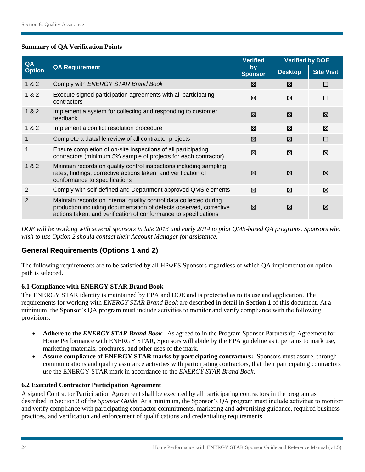#### **Summary of QA Verification Points**

| QA            |                                                                                                                                                                                                              | <b>Verified</b>      | <b>Verified by DOE</b> |                   |
|---------------|--------------------------------------------------------------------------------------------------------------------------------------------------------------------------------------------------------------|----------------------|------------------------|-------------------|
| <b>Option</b> | <b>QA Requirement</b>                                                                                                                                                                                        | by<br><b>Sponsor</b> | <b>Desktop</b>         | <b>Site Visit</b> |
| 1 & 2         | Comply with ENERGY STAR Brand Book                                                                                                                                                                           | ⊠                    | ⊠                      | □                 |
| 1 & 2         | Execute signed participation agreements with all participating<br>contractors                                                                                                                                | ⊠                    | ⊠                      | $\Box$            |
| 1 & 2         | Implement a system for collecting and responding to customer<br>feedback                                                                                                                                     | ⊠                    | ⊠                      | ⊠                 |
| 1 & 2         | Implement a conflict resolution procedure                                                                                                                                                                    | ⊠                    | ⊠                      | ⊠                 |
| 1             | Complete a data/file review of all contractor projects                                                                                                                                                       | ⊠                    | ⊠                      | $\Box$            |
|               | Ensure completion of on-site inspections of all participating<br>contractors (minimum 5% sample of projects for each contractor)                                                                             | ⊠                    | ⊠                      | ⊠                 |
| 1 & 2         | Maintain records on quality control inspections including sampling<br>rates, findings, corrective actions taken, and verification of<br>conformance to specifications                                        | ⊠                    | ⊠                      | ⊠                 |
| 2             | Comply with self-defined and Department approved QMS elements                                                                                                                                                | ⊠                    | ⊠                      | ⊠                 |
| $\mathbf{2}$  | Maintain records on internal quality control data collected during<br>production including documentation of defects observed, corrective<br>actions taken, and verification of conformance to specifications | ⊠                    | ⊠                      | ⊠                 |

 *DOE will be working with several sponsors in late 2013 and early 2014 to pilot QMS-based QA programs. Sponsors who wish to use Option 2 should contact their Account Manager for assistance.* 

# **General Requirements (Options 1 and 2)**

The following requirements are to be satisfied by all HPwES Sponsors regardless of which QA implementation option path is selected.

### **6.1 Compliance with ENERGY STAR Brand Book**

 requirements for working with *ENERGY STAR Brand Book* are described in detail in **Section 1** of this document. At a The ENERGY STAR identity is maintained by EPA and DOE and is protected as to its use and application. The minimum, the Sponsor's QA program must include activities to monitor and verify compliance with the following provisions:

- **Adhere to the** *ENERGY STAR Brand Book*: As agreed to in the Program Sponsor Partnership Agreement for Home Performance with ENERGY STAR, Sponsors will abide by the EPA guideline as it pertains to mark use, marketing materials, brochures, and other uses of the mark.
- **Assure compliance of ENERGY STAR marks by participating contractors: Sponsors must assure, through** communications and quality assurance activities with participating contractors, that their participating contractors use the ENERGY STAR mark in accordance to the *ENERGY STAR Brand Book*.

#### **6.2 Executed Contractor Participation Agreement**

A signed Contractor Participation Agreement shall be executed by all participating contractors in the program as described in Section 3 of the *Sponsor Guide*. At a minimum, the Sponsor's QA program must include activities to monitor and verify compliance with participating contractor commitments, marketing and advertising guidance, required business practices, and verification and enforcement of qualifications and credentialing requirements.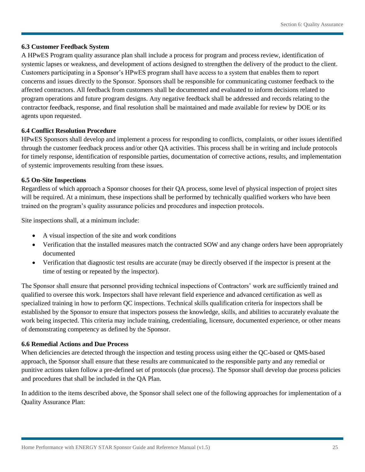#### **6.3 Customer Feedback System**

 systemic lapses or weakness, and development of actions designed to strengthen the delivery of the product to the client. Customers participating in a Sponsor's HPwES program shall have access to a system that enables them to report A HPwES Program quality assurance plan shall include a process for program and process review, identification of concerns and issues directly to the Sponsor. Sponsors shall be responsible for communicating customer feedback to the affected contractors. All feedback from customers shall be documented and evaluated to inform decisions related to program operations and future program designs. Any negative feedback shall be addressed and records relating to the contractor feedback, response, and final resolution shall be maintained and made available for review by DOE or its agents upon requested.

#### **6.4 Conflict Resolution Procedure**

HPwES Sponsors shall develop and implement a process for responding to conflicts, complaints, or other issues identified through the customer feedback process and/or other QA activities. This process shall be in writing and include protocols for timely response, identification of responsible parties, documentation of corrective actions, results, and implementation of systemic improvements resulting from these issues.

#### **6.5 On-Site Inspections**

 Regardless of which approach a Sponsor chooses for their QA process, some level of physical inspection of project sites will be required. At a minimum, these inspections shall be performed by technically qualified workers who have been trained on the program's quality assurance policies and procedures and inspection protocols.

Site inspections shall, at a minimum include:

- A visual inspection of the site and work conditions
- Verification that the installed measures match the contracted SOW and any change orders have been appropriately documented
- Verification that diagnostic test results are accurate (may be directly observed if the inspector is present at the time of testing or repeated by the inspector).

 qualified to oversee this work. Inspectors shall have relevant field experience and advanced certification as well as The Sponsor shall ensure that personnel providing technical inspections of Contractors' work are sufficiently trained and specialized training in how to perform QC inspections. Technical skills qualification criteria for inspectors shall be established by the Sponsor to ensure that inspectors possess the knowledge, skills, and abilities to accurately evaluate the work being inspected. This criteria may include training, credentialing, licensure, documented experience, or other means of demonstrating competency as defined by the Sponsor.

#### **6.6 Remedial Actions and Due Process**

When deficiencies are detected through the inspection and testing process using either the QC-based or QMS-based approach, the Sponsor shall ensure that these results are communicated to the responsible party and any remedial or punitive actions taken follow a pre-defined set of protocols (due process). The Sponsor shall develop due process policies and procedures that shall be included in the QA Plan.

In addition to the items described above, the Sponsor shall select one of the following approaches for implementation of a Quality Assurance Plan: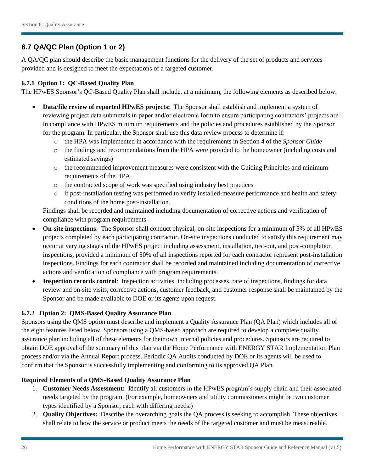# **6.7 QA/QC Plan (Option 1 or 2)**

A QA/QC plan should describe the basic management functions for the delivery of the set of products and services provided and is designed to meet the expectations of a targeted customer.

#### **6.7.1 Option 1: QC-Based Quality Plan**

The HPwES Sponsor's QC-Based Quality Plan shall include, at a minimum, the following elements as described below:

- **Data/file review of reported HPwES projects:** The Sponsor shall establish and implement a system of reviewing project data submittals in paper and/or electronic form to ensure participating contractors' projects are in compliance with HPwES minimum requirements and the policies and procedures established by the Sponsor for the program. In particular, the Sponsor shall use this data review process to determine if:
	- o the HPA was implemented in accordance with the requirements in Section 4 of the *Sponsor Guide*
	- $\circ$  the findings and recommendations from the HPA were provided to the homeowner (including costs and estimated savings)
	- requirements of the HPA  $\circ$  the recommended improvement measures were consistent with the Guiding Principles and minimum
	- o the contracted scope of work was specified using industry best practices
	- o if post-installation testing was performed to verify installed-measure performance and health and safety conditions of the home post-installation.

Findings shall be recorded and maintained including documentation of corrective actions and verification of compliance with program requirements.

- **On-site inspections**: The Sponsor shall conduct physical, on-site inspections for a minimum of 5% of all HPwES projects completed by each participating contractor. On-site inspections conducted to satisfy this requirement may occur at varying stages of the HPwES project including assessment, installation, test-out, and post-completion inspections, provided a minimum of 50% of all inspections reported for each contractor represent post-installation inspections. Findings for each contractor shall be recorded and maintained including documentation of corrective actions and verification of compliance with program requirements.
- **Inspection records control**: Inspection activities, including processes, rate of inspections, findings for data review and on-site visits, corrective actions, customer feedback, and customer response shall be maintained by the Sponsor and be made available to DOE or its agents upon request.

#### **6.7.2 Option 2: QMS-Based Quality Assurance Plan**

Sponsors using the QMS option must describe and implement a Quality Assurance Plan (QA Plan) which includes all of the eight features listed below. Sponsors using a QMS-based approach are required to develop a complete quality assurance plan including all of these elements for their own internal policies and procedures. Sponsors are required to obtain DOE approval of the summary of this plan via the Home Performance with ENERGY STAR Implementation Plan process and/or via the Annual Report process. Periodic QA Audits conducted by DOE or its agents will be used to confirm that the Sponsor is successfully implementing and conforming to its approved QA Plan.

#### **Required Elements of a QMS-Based Quality Assurance Plan**

- 1. **Customer Needs Assessment:** Identify all customers in the HPwES program's supply chain and their associated needs targeted by the program. (For example, homeowners and utility commissioners might be two customer types identified by a Sponsor, each with differing needs.)
- 2. **Quality Objectives:** Describe the overarching goals the QA process is seeking to accomplish. These objectives shall relate to how the service or product meets the needs of the targeted customer and must be measureable.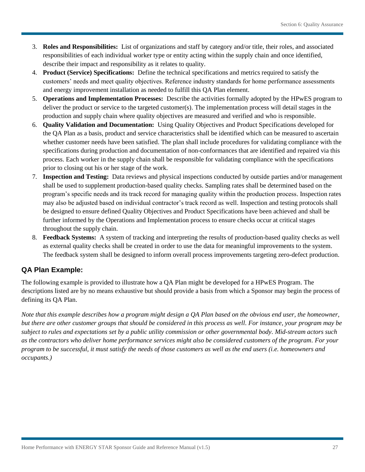- 3. **Roles and Responsibilities:** List of organizations and staff by category and/or title, their roles, and associated responsibilities of each individual worker type or entity acting within the supply chain and once identified, describe their impact and responsibility as it relates to quality.
- 4. **Product (Service) Specifications:** Define the technical specifications and metrics required to satisfy the customers' needs and meet quality objectives. Reference industry standards for home performance assessments and energy improvement installation as needed to fulfill this QA Plan element.
- 5. **Operations and Implementation Processes:** Describe the activities formally adopted by the HPwES program to deliver the product or service to the targeted customer(s). The implementation process will detail stages in the production and supply chain where quality objectives are measured and verified and who is responsible.
- 6. **Quality Validation and Documentation:** Using Quality Objectives and Product Specifications developed for the QA Plan as a basis, product and service characteristics shall be identified which can be measured to ascertain prior to closing out his or her stage of the work. whether customer needs have been satisfied. The plan shall include procedures for validating compliance with the specifications during production and documentation of non-conformances that are identified and repaired via this process. Each worker in the supply chain shall be responsible for validating compliance with the specifications
- 7. **Inspection and Testing:** Data reviews and physical inspections conducted by outside parties and/or management program's specific needs and its track record for managing quality within the production process. Inspection rates shall be used to supplement production-based quality checks. Sampling rates shall be determined based on the may also be adjusted based on individual contractor's track record as well. Inspection and testing protocols shall be designed to ensure defined Quality Objectives and Product Specifications have been achieved and shall be further informed by the Operations and Implementation process to ensure checks occur at critical stages throughout the supply chain.
- 8. **Feedback Systems:** A system of tracking and interpreting the results of production-based quality checks as well as external quality checks shall be created in order to use the data for meaningful improvements to the system. The feedback system shall be designed to inform overall process improvements targeting zero-defect production.

# **QA Plan Example:**

The following example is provided to illustrate how a QA Plan might be developed for a HPwES Program. The descriptions listed are by no means exhaustive but should provide a basis from which a Sponsor may begin the process of defining its QA Plan.

 *program to be successful, it must satisfy the needs of those customers as well as the end users (i.e. homeowners and Note that this example describes how a program might design a QA Plan based on the obvious end user, the homeowner, but there are other customer groups that should be considered in this process as well. For instance, your program may be subject to rules and expectations set by a public utility commission or other governmental body. Mid-stream actors such as the contractors who deliver home performance services might also be considered customers of the program. For your occupants.)*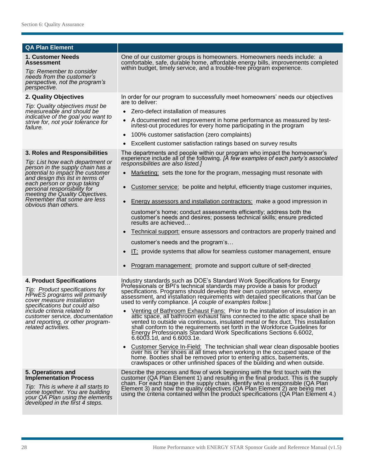| <b>QA Plan Element</b>                                                                                                                                                                             |                                                                                                                                                                                                                                                                                                                                                                                                                                        |  |  |  |
|----------------------------------------------------------------------------------------------------------------------------------------------------------------------------------------------------|----------------------------------------------------------------------------------------------------------------------------------------------------------------------------------------------------------------------------------------------------------------------------------------------------------------------------------------------------------------------------------------------------------------------------------------|--|--|--|
| 1. Customer Needs<br><b>Assessment</b><br>Tip: Remember to consider<br>needs from the customer's<br>perspective, not the program's<br>perspective.                                                 | One of our customer groups is homeowners. Homeowners needs include: a<br>comfortable, safe, durable home, affordable energy bills, improvements completed<br>within budget, timely service, and a trouble-free program experience.                                                                                                                                                                                                     |  |  |  |
| 2. Quality Objectives                                                                                                                                                                              | In order for our program to successfully meet homeowners' needs our objectives                                                                                                                                                                                                                                                                                                                                                         |  |  |  |
| Tip: Quality objectives must be<br>measureable and should be<br>indicative of the goal you want to<br>strive for, not your tolerance for<br>failure.                                               | are to deliver:<br>Zero-defect installation of measures<br>A documented net improvement in home performance as measured by test-<br>$\bullet$<br>in/test-out procedures for every home participating in the program<br>100% customer satisfaction (zero complaints)<br>$\bullet$<br>Excellent customer satisfaction ratings based on survey results                                                                                    |  |  |  |
| 3. Roles and Responsibilities                                                                                                                                                                      | The departments and people within our program who impact the homeowner's                                                                                                                                                                                                                                                                                                                                                               |  |  |  |
| Tip: List how each department or                                                                                                                                                                   | experience include all of the following. [A few examples of each party's associated<br>responsibilities are also listed.]                                                                                                                                                                                                                                                                                                              |  |  |  |
| person in the supply chain has a<br>potential to impact the customer<br>and design this list in terms of                                                                                           | Marketing: sets the tone for the program, messaging must resonate with                                                                                                                                                                                                                                                                                                                                                                 |  |  |  |
| each person or group taking<br>personal responsibility for<br>meeting the Quality Objectives.                                                                                                      | Customer service: be polite and helpful, efficiently triage customer inquiries,                                                                                                                                                                                                                                                                                                                                                        |  |  |  |
| Remember that some are less<br>obvious than others.                                                                                                                                                | Energy assessors and installation contractors: make a good impression in                                                                                                                                                                                                                                                                                                                                                               |  |  |  |
|                                                                                                                                                                                                    | customer's home; conduct assessments efficiently; address both the<br>customer's needs and desires; possess technical skills; ensure predicted<br>results are achieved                                                                                                                                                                                                                                                                 |  |  |  |
|                                                                                                                                                                                                    | Technical support: ensure assessors and contractors are properly trained and                                                                                                                                                                                                                                                                                                                                                           |  |  |  |
|                                                                                                                                                                                                    | customer's needs and the program's                                                                                                                                                                                                                                                                                                                                                                                                     |  |  |  |
|                                                                                                                                                                                                    | IT: provide systems that allow for seamless customer management, ensure                                                                                                                                                                                                                                                                                                                                                                |  |  |  |
|                                                                                                                                                                                                    | Program management: promote and support culture of self-directed                                                                                                                                                                                                                                                                                                                                                                       |  |  |  |
| <b>4. Product Specifications</b><br>Tip: Product specifications for<br>HPwES programs will primarily<br>cover measure installation<br>specifications but could also                                | Industry standards such as DOE's Standard Work Specifications for Energy<br>Professionals or BPI's technical standards may provide a basis for product<br>specifications. Programs should develop their own customer service, energy<br>assessment, and installation requirements with detailed specifications that can be<br>used to verify compliance. [A couple of examples follow.]                                                |  |  |  |
| <i>include criteria related to</i><br>customer service, documentation<br>and reporting, or other program-<br>related activities.                                                                   | Venting of Bathroom Exhaust Fans: Prior to the installation of insulation in an<br>attic space, all bathroom exhaust fans connected to the attic space shall be<br>vented to outside via continuous, insulated metal or flex duct. This installation<br>shall conform to the requirements set forth in the Workforce Guidelines for<br>Energy Professionals Standard Work Specifications Sections 6.6002,<br>6.6003.1d, and 6.6003.1e. |  |  |  |
|                                                                                                                                                                                                    | Customer Service In-Field: The technician shall wear clean disposable booties<br>over his or her shoes at all times when working in the occupied space of the<br>home. Booties shall be removed prior to entering attics, basements,<br>crawlspaces or other unfinished spaces of the building and when outside.                                                                                                                       |  |  |  |
| 5. Operations and<br><b>Implementation Process</b><br>Tip: This is where it all starts to<br>come together. You are building<br>your QA Plan using the elements<br>developed in the first 4 steps. | Describe the process and flow of work beginning with the first touch with the<br>customer (QA Plan Element 1) and resulting in the final product. This is the supply<br>chain. For each stage in the supply chain, identify who is responsible (QA Plan<br>Element 3) and how the quality objectives (QA Plan Element 2) are being met<br>using the criteria contained within the product specifications (QA Plan Element 4.)          |  |  |  |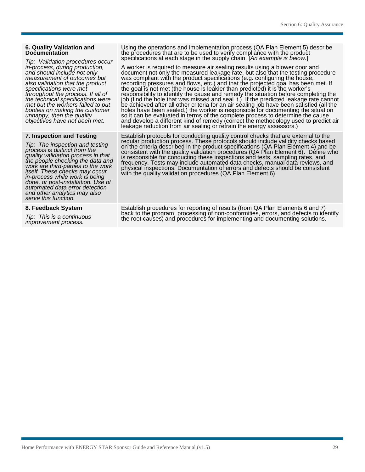*done, or post-installation. Use of automated data error detection and other analytics may also serve this function.* 

6. Quality Validation and<br>
Documentation<br>
Documentation<br>
Documentation<br>
Documentation<br>
Tip: Validation procedures occur<br>
Tip: Validation procedures occur<br>
in-process, during production,<br>
A worker is required to measure air

in-process, during production, <br>and should include not only document not only the measure air sealing results using a blower door and<br>and should include not only document not only the measured leakage rate, but also that t *specifications were met* the goal is not met (the house is leakier than predicted) it is the worker's specifications were met free poal is not met (the house is leakier than predicted) it is the worker's<br>throughout the process. If all of responsibility to identify the cause and remedy the situation before completing the<br>th met but the workers failed to put<br>be achieved after all other criteria for an air sealing job have been satisfied (all the<br>booties on making the customer<br>unhappy, then the quality<br>objectives have not been met. and develop

**7. Inspection and Testing** Establish protocols for conducting quality control checks that are external to the Tip: The inspection and resulting regular production process. These protocols should include validity checks based<br>on the criteria described in the product specifications (QA Plan Element 4) and be<br>quality validation proc

8. Feedback System Establish procedures for reporting of results (from QA Plan Elements 6 and 7)<br>
Tip: This is a continuous the root causes; and procedures for implementing and documenting solutions.<br>
improvement process.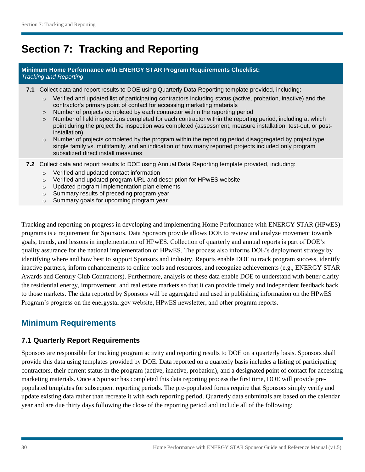# <span id="page-29-1"></span><span id="page-29-0"></span>**Section 7: Tracking and Reporting**

#### **Minimum Home Performance with ENERGY STAR Program Requirements Checklist:**  *Tracking and Reporting*

- **7.1** Collect data and report results to DOE using Quarterly Data Reporting template provided, including:
	- o Verified and updated list of participating contractors including status (active, probation, inactive) and the contractor's primary point of contact for accessing marketing materials
	- $\circ$  Number of projects completed by each contractor within the reporting period
	- $\circ$  Number of field inspections completed for each contractor within the reporting period, including at which point during the project the inspection was completed (assessment, measure installation, test-out, or postinstallation)
	- single family vs. multifamily, and an indication of how many reported projects included only program  $\circ$  Number of projects completed by the program within the reporting period disaggregated by project type: subsidized direct install measures
- **7.2** Collect data and report results to DOE using Annual Data Reporting template provided, including:
	- o Verified and updated contact information
	- o Verified and updated program URL and description for HPwES website
	- $\circ$  Updated program implementation plan elements
	- $\circ$  Summary results of preceding program year
	- $\circ$  Summary goals for upcoming program year

 goals, trends, and lessons in implementation of HPwES. Collection of quarterly and annual reports is part of DOE's quality assurance for the national implementation of HPwES. The process also informs DOE's deployment strategy by identifying where and how best to support Sponsors and industry. Reports enable DOE to track program success, identify Awards and Century Club Contractors). Furthermore, analysis of these data enable DOE to understand with better clarity the residential energy, improvement, and real estate markets so that it can provide timely and independent feedback back Tracking and reporting on progress in developing and implementing Home Performance with ENERGY STAR (HPwES) programs is a requirement for Sponsors. Data Sponsors provide allows DOE to review and analyze movement towards inactive partners, inform enhancements to online tools and resources, and recognize achievements (e.g., ENERGY STAR to those markets. The data reported by Sponsors will be aggregated and used in publishing information on the HPwES Program's progress on the energystar.gov website, HPwES newsletter, and other program reports.

# **Minimum Requirements**

### **7.1 Quarterly Report Requirements**

 contractors, their current status in the program (active, inactive, probation), and a designated point of contact for accessing year and are due thirty days following the close of the reporting period and include all of the following: Sponsors are responsible for tracking program activity and reporting results to DOE on a quarterly basis. Sponsors shall provide this data using templates provided by DOE. Data reported on a quarterly basis includes a listing of participating marketing materials. Once a Sponsor has completed this data reporting process the first time, DOE will provide prepopulated templates for subsequent reporting periods. The pre-populated forms require that Sponsors simply verify and update existing data rather than recreate it with each reporting period. Quarterly data submittals are based on the calendar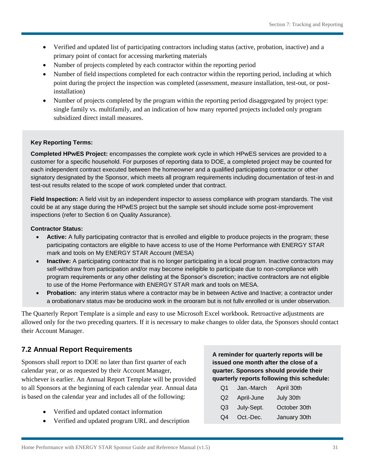- Verified and updated list of participating contractors including status (active, probation, inactive) and a primary point of contact for accessing marketing materials
- Number of projects completed by each contractor within the reporting period
- Number of field inspections completed for each contractor within the reporting period, including at which point during the project the inspection was completed (assessment, measure installation, test-out, or postinstallation)
- Number of projects completed by the program within the reporting period disaggregated by project type: single family vs. multifamily, and an indication of how many reported projects included only program subsidized direct install measures.

#### **Key Reporting Terms:**

 signatory designated by the Sponsor, which meets all program requirements including documentation of test-in and **Completed HPwES Project:** encompasses the complete work cycle in which HPwES services are provided to a customer for a specific household. For purposes of reporting data to DOE, a completed project may be counted for each independent contract executed between the homeowner and a qualified participating contractor or other test-out results related to the scope of work completed under that contract.

**Field Inspection:** A field visit by an independent inspector to assess compliance with program standards. The visit could be at any stage during the HPwES project but the sample set should include some post-improvement inspections (refer to Section 6 on Quality Assurance).

#### **Contractor Status:**

- Active: A fully participating contractor that is enrolled and eligible to produce projects in the program; these participating contactors are eligible to have access to use of the Home Performance with ENERGY STAR mark and tools on My ENERGY STAR Account (MESA)
- **Inactive:** A participating contractor that is no longer participating in a local program. Inactive contractors may self-withdraw from participation and/or may become ineligible to participate due to non-compliance with program requirements or any other delisting at the Sponsor's discretion; inactive contractors are not eligible to use of the Home Performance with ENERGY STAR mark and tools on MESA.
- a probationary status may be producing work in the program but is not fully enrolled or is under observation. **Probation:** any interim status where a contractor may be in between Active and Inactive; a contractor under

 The Quarterly Report Template is a simple and easy to use Microsoft Excel workbook. Retroactive adjustments are allowed only for the two preceding quarters. If it is necessary to make changes to older data, the Sponsors should contact their Account Manager.

### **7.2 Annual Report Requirements**

Sponsors shall report to DOE no later than first quarter of each calendar year, or as requested by their Account Manager, whichever is earlier. An Annual Report Template will be provided to all Sponsors at the beginning of each calendar year. Annual data is based on the calendar year and includes all of the following:

- Verified and updated contact information
- Verified and updated program URL and description

**A reminder for quarterly reports will be issued one month after the close of a quarter. Sponsors should provide their quarterly reports following this schedule:** 

| Jah.-March | ADIII JUUT   |
|------------|--------------|
| April-June | July 30th    |
| July-Sept. | October 30th |
| Oct.-Dec.  | January 30th |
|            |              |

Q1 Jan.-March April 30th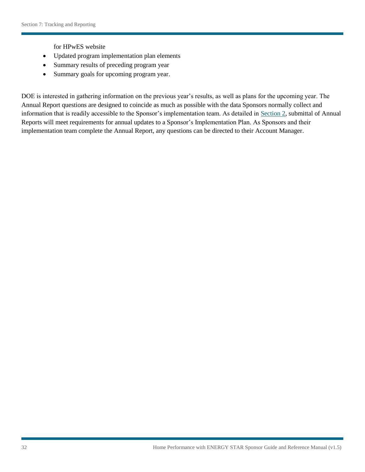for HPwES website

- Updated program implementation plan elements
- Summary results of preceding program year
- Summary goals for upcoming program year.

DOE is interested in gathering information on the previous year's results, as well as plans for the upcoming year. The Annual Report questions are designed to coincide as much as possible with the data Sponsors normally collect and information that is readily accessible to the Sponsor's implementation team. As detailed in Section 2, submittal of Annual Reports will meet requirements for annual updates to a Sponsor's Implementation Plan. As Sponsors and their implementation team complete the Annual Report, any questions can be directed to their Account Manager.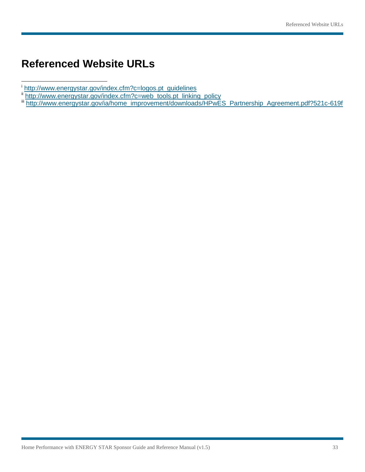# **Referenced Website URLs**

l

- 
- 
- ĺ. http://www.energystar.gov/ia/home\_improvement/downloads/HPwES\_Partnership\_Agreement.pdf?521c-619f <sup>[i](http://www.energystar.gov/index.cfm?c=web_tools.pt_linking_policy)</sup> http://www.energystar.gov/index.cfm?c=logos.pt\_guidelines<br><sup>ii</sup> http://www.energystar.gov/index.cfm?c=web\_tools.pt\_linking\_policy<br><sup>iii</sup> <u>http://www.energystar.gov/ia/home\_improvement/downloads/HPwES\_Partnership\_Agreemen</u>